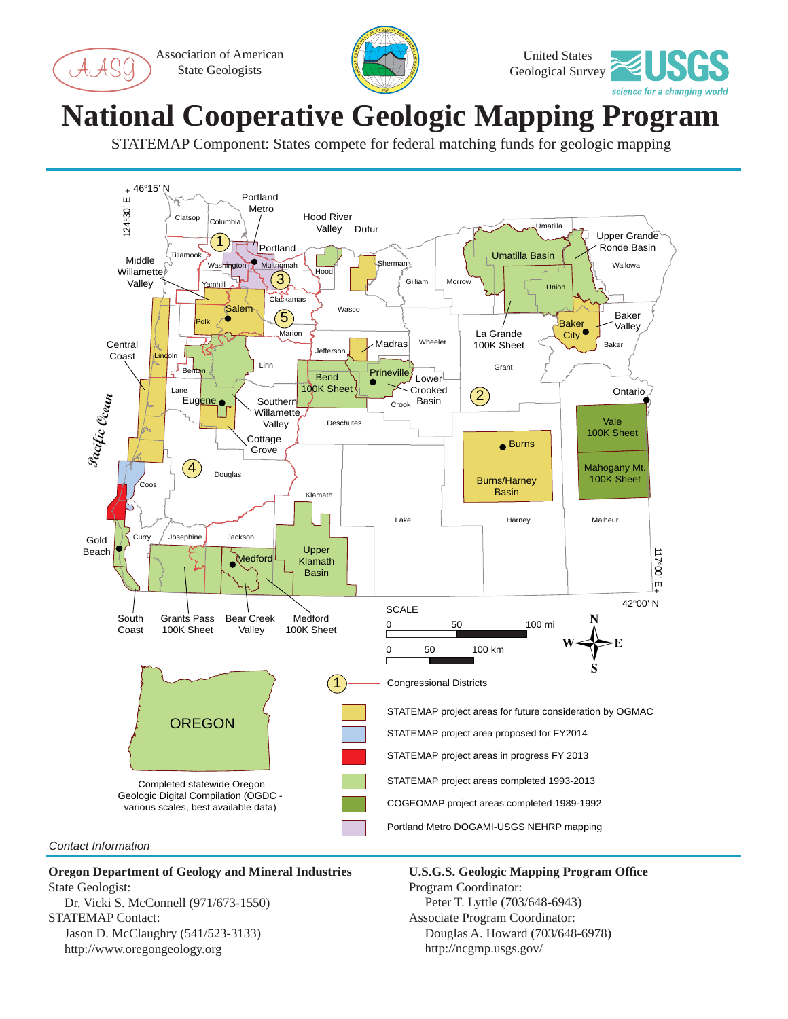Association of American State Geologists





## **National Cooperative Geologic Mapping Program**

STATEMAP Component: States compete for federal matching funds for geologic mapping



## **Oregon Department of Geology and Mineral Industries** State Geologist:

 Dr. Vicki S. McConnell (971/673-1550) STATEMAP Contact: Jason D. McClaughry (541/523-3133) http://www.oregongeology.org

**U.S.G.S. Geologic Mapping Program Offi ce** Program Coordinator: Peter T. Lyttle (703/648-6943) Associate Program Coordinator: Douglas A. Howard (703/648-6978) http://ncgmp.usgs.gov/